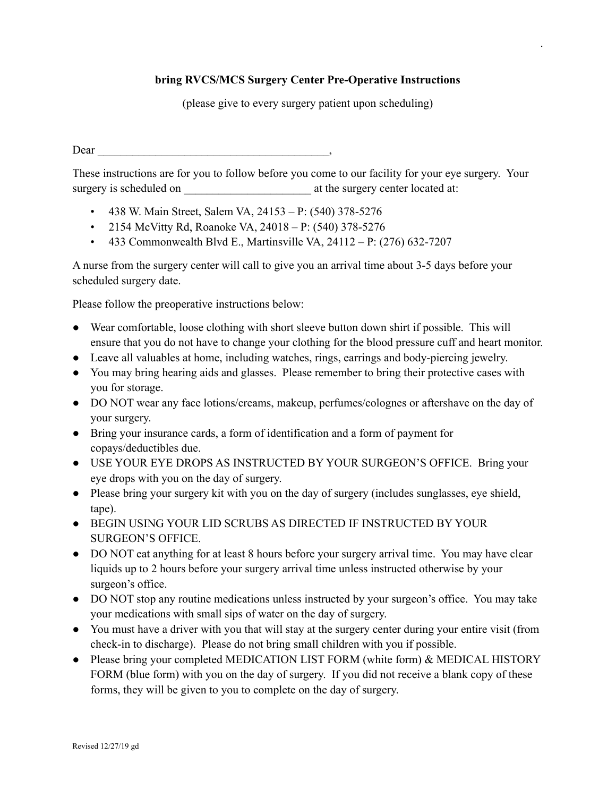## **bring RVCS/MCS Surgery Center Pre-Operative Instructions**

.

(please give to every surgery patient upon scheduling)

 $Dear$ ,  $\qquad \qquad$ 

These instructions are for you to follow before you come to our facility for your eye surgery. Your surgery is scheduled on  $\qquad \qquad$  at the surgery center located at:

- 438 W. Main Street, Salem VA, 24153 P: (540) 378-5276
- 2154 McVitty Rd, Roanoke VA, 24018 P: (540) 378-5276
- 433 Commonwealth Blvd E., Martinsville VA,  $24112 P: (276) 632-7207$

A nurse from the surgery center will call to give you an arrival time about 3-5 days before your scheduled surgery date.

Please follow the preoperative instructions below:

- Wear comfortable, loose clothing with short sleeve button down shirt if possible. This will ensure that you do not have to change your clothing for the blood pressure cuff and heart monitor.
- Leave all valuables at home, including watches, rings, earrings and body-piercing jewelry.
- You may bring hearing aids and glasses. Please remember to bring their protective cases with you for storage.
- DO NOT wear any face lotions/creams, makeup, perfumes/colognes or aftershave on the day of your surgery.
- Bring your insurance cards, a form of identification and a form of payment for copays/deductibles due.
- USE YOUR EYE DROPS AS INSTRUCTED BY YOUR SURGEON'S OFFICE. Bring your eye drops with you on the day of surgery.
- Please bring your surgery kit with you on the day of surgery (includes sunglasses, eye shield, tape).
- BEGIN USING YOUR LID SCRUBS AS DIRECTED IF INSTRUCTED BY YOUR SURGEON'S OFFICE.
- DO NOT eat anything for at least 8 hours before your surgery arrival time. You may have clear liquids up to 2 hours before your surgery arrival time unless instructed otherwise by your surgeon's office.
- DO NOT stop any routine medications unless instructed by your surgeon's office. You may take your medications with small sips of water on the day of surgery.
- You must have a driver with you that will stay at the surgery center during your entire visit (from check-in to discharge). Please do not bring small children with you if possible.
- Please bring your completed MEDICATION LIST FORM (white form) & MEDICAL HISTORY FORM (blue form) with you on the day of surgery. If you did not receive a blank copy of these forms, they will be given to you to complete on the day of surgery.